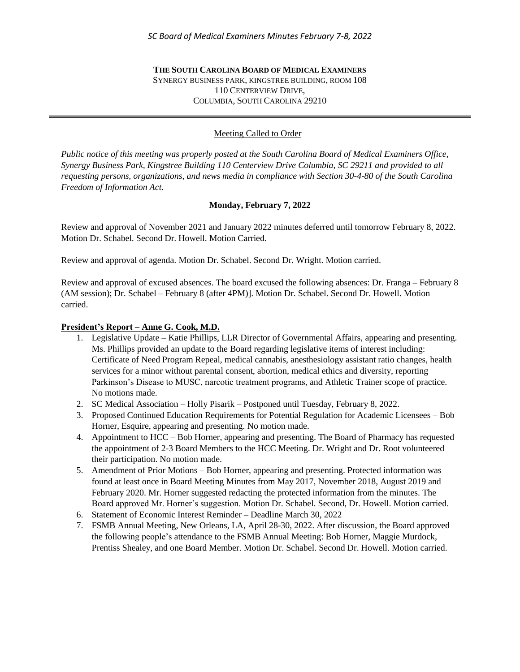#### **THE SOUTH CAROLINA BOARD OF MEDICAL EXAMINERS** SYNERGY BUSINESS PARK, KINGSTREE BUILDING, ROOM 108 110 CENTERVIEW DRIVE, COLUMBIA, SOUTH CAROLINA 29210

# Meeting Called to Order

*Public notice of this meeting was properly posted at the South Carolina Board of Medical Examiners Office, Synergy Business Park, Kingstree Building 110 Centerview Drive Columbia, SC 29211 and provided to all requesting persons, organizations, and news media in compliance with Section 30-4-80 of the South Carolina Freedom of Information Act.* 

# **Monday, February 7, 2022**

Review and approval of November 2021 and January 2022 minutes deferred until tomorrow February 8, 2022. Motion Dr. Schabel. Second Dr. Howell. Motion Carried.

Review and approval of agenda. Motion Dr. Schabel. Second Dr. Wright. Motion carried.

Review and approval of excused absences. The board excused the following absences: Dr. Franga – February 8 (AM session); Dr. Schabel – February 8 (after 4PM)]. Motion Dr. Schabel. Second Dr. Howell. Motion carried.

#### **President's Report – Anne G. Cook, M.D.**

- 1. Legislative Update Katie Phillips, LLR Director of Governmental Affairs, appearing and presenting. Ms. Phillips provided an update to the Board regarding legislative items of interest including: Certificate of Need Program Repeal, medical cannabis, anesthesiology assistant ratio changes, health services for a minor without parental consent, abortion, medical ethics and diversity, reporting Parkinson's Disease to MUSC, narcotic treatment programs, and Athletic Trainer scope of practice. No motions made.
- 2. SC Medical Association Holly Pisarik Postponed until Tuesday, February 8, 2022.
- 3. Proposed Continued Education Requirements for Potential Regulation for Academic Licensees Bob Horner, Esquire, appearing and presenting. No motion made.
- 4. Appointment to HCC Bob Horner, appearing and presenting. The Board of Pharmacy has requested the appointment of 2-3 Board Members to the HCC Meeting. Dr. Wright and Dr. Root volunteered their participation. No motion made.
- 5. Amendment of Prior Motions Bob Horner, appearing and presenting. Protected information was found at least once in Board Meeting Minutes from May 2017, November 2018, August 2019 and February 2020. Mr. Horner suggested redacting the protected information from the minutes. The Board approved Mr. Horner's suggestion. Motion Dr. Schabel. Second, Dr. Howell. Motion carried.
- 6. Statement of Economic Interest Reminder Deadline March 30, 2022
- 7. FSMB Annual Meeting, New Orleans, LA, April 28-30, 2022. After discussion, the Board approved the following people's attendance to the FSMB Annual Meeting: Bob Horner, Maggie Murdock, Prentiss Shealey, and one Board Member. Motion Dr. Schabel. Second Dr. Howell. Motion carried.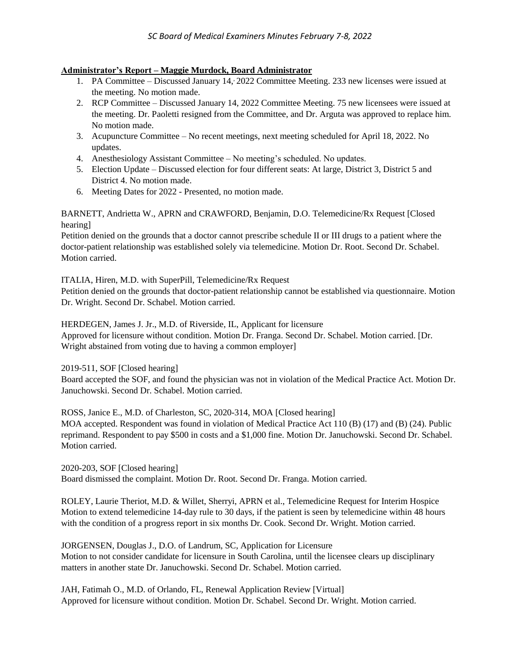# **Administrator's Report – Maggie Murdock, Board Administrator**

- 1. PA Committee Discussed January 14, 2022 Committee Meeting. 233 new licenses were issued at the meeting. No motion made.
- 2. RCP Committee Discussed January 14, 2022 Committee Meeting. 75 new licensees were issued at the meeting. Dr. Paoletti resigned from the Committee, and Dr. Arguta was approved to replace him. No motion made.
- 3. Acupuncture Committee No recent meetings, next meeting scheduled for April 18, 2022. No updates.
- 4. Anesthesiology Assistant Committee No meeting's scheduled. No updates.
- 5. Election Update Discussed election for four different seats: At large, District 3, District 5 and District 4. No motion made.
- 6. Meeting Dates for 2022 Presented, no motion made.

BARNETT, Andrietta W., APRN and CRAWFORD, Benjamin, D.O. Telemedicine/Rx Request [Closed hearing]

Petition denied on the grounds that a doctor cannot prescribe schedule II or III drugs to a patient where the doctor-patient relationship was established solely via telemedicine. Motion Dr. Root. Second Dr. Schabel. Motion carried.

ITALIA, Hiren, M.D. with SuperPill, Telemedicine/Rx Request

Petition denied on the grounds that doctor-patient relationship cannot be established via questionnaire. Motion Dr. Wright. Second Dr. Schabel. Motion carried.

HERDEGEN, James J. Jr., M.D. of Riverside, IL, Applicant for licensure Approved for licensure without condition. Motion Dr. Franga. Second Dr. Schabel. Motion carried. [Dr. Wright abstained from voting due to having a common employer]

2019-511, SOF [Closed hearing]

Board accepted the SOF, and found the physician was not in violation of the Medical Practice Act. Motion Dr. Januchowski. Second Dr. Schabel. Motion carried.

ROSS, Janice E., M.D. of Charleston, SC, 2020-314, MOA [Closed hearing] MOA accepted. Respondent was found in violation of Medical Practice Act 110 (B) (17) and (B) (24). Public reprimand. Respondent to pay \$500 in costs and a \$1,000 fine. Motion Dr. Januchowski. Second Dr. Schabel. Motion carried.

2020-203, SOF [Closed hearing] Board dismissed the complaint. Motion Dr. Root. Second Dr. Franga. Motion carried.

ROLEY, Laurie Theriot, M.D. & Willet, Sherryi, APRN et al., Telemedicine Request for Interim Hospice Motion to extend telemedicine 14-day rule to 30 days, if the patient is seen by telemedicine within 48 hours with the condition of a progress report in six months Dr. Cook. Second Dr. Wright. Motion carried.

JORGENSEN, Douglas J., D.O. of Landrum, SC, Application for Licensure Motion to not consider candidate for licensure in South Carolina, until the licensee clears up disciplinary matters in another state Dr. Januchowski. Second Dr. Schabel. Motion carried.

JAH, Fatimah O., M.D. of Orlando, FL, Renewal Application Review [Virtual] Approved for licensure without condition. Motion Dr. Schabel. Second Dr. Wright. Motion carried.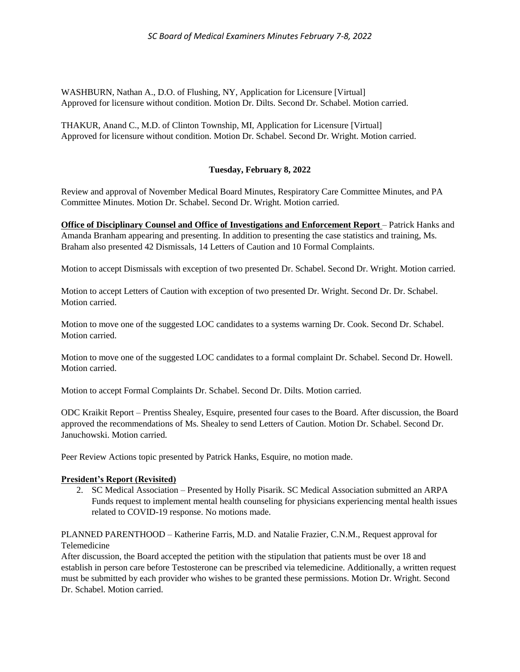WASHBURN, Nathan A., D.O. of Flushing, NY, Application for Licensure [Virtual] Approved for licensure without condition. Motion Dr. Dilts. Second Dr. Schabel. Motion carried.

THAKUR, Anand C., M.D. of Clinton Township, MI, Application for Licensure [Virtual] Approved for licensure without condition. Motion Dr. Schabel. Second Dr. Wright. Motion carried.

# **Tuesday, February 8, 2022**

Review and approval of November Medical Board Minutes, Respiratory Care Committee Minutes, and PA Committee Minutes. Motion Dr. Schabel. Second Dr. Wright. Motion carried.

**Office of Disciplinary Counsel and Office of Investigations and Enforcement Report** – Patrick Hanks and Amanda Branham appearing and presenting. In addition to presenting the case statistics and training, Ms. Braham also presented 42 Dismissals, 14 Letters of Caution and 10 Formal Complaints.

Motion to accept Dismissals with exception of two presented Dr. Schabel. Second Dr. Wright. Motion carried.

Motion to accept Letters of Caution with exception of two presented Dr. Wright. Second Dr. Dr. Schabel. Motion carried.

Motion to move one of the suggested LOC candidates to a systems warning Dr. Cook. Second Dr. Schabel. Motion carried.

Motion to move one of the suggested LOC candidates to a formal complaint Dr. Schabel. Second Dr. Howell. Motion carried.

Motion to accept Formal Complaints Dr. Schabel. Second Dr. Dilts. Motion carried.

ODC Kraikit Report – Prentiss Shealey, Esquire, presented four cases to the Board. After discussion, the Board approved the recommendations of Ms. Shealey to send Letters of Caution. Motion Dr. Schabel. Second Dr. Januchowski. Motion carried.

Peer Review Actions topic presented by Patrick Hanks, Esquire, no motion made.

#### **President's Report (Revisited)**

2. SC Medical Association – Presented by Holly Pisarik. SC Medical Association submitted an ARPA Funds request to implement mental health counseling for physicians experiencing mental health issues related to COVID-19 response. No motions made.

PLANNED PARENTHOOD – Katherine Farris, M.D. and Natalie Frazier, C.N.M., Request approval for Telemedicine

After discussion, the Board accepted the petition with the stipulation that patients must be over 18 and establish in person care before Testosterone can be prescribed via telemedicine. Additionally, a written request must be submitted by each provider who wishes to be granted these permissions. Motion Dr. Wright. Second Dr. Schabel. Motion carried.